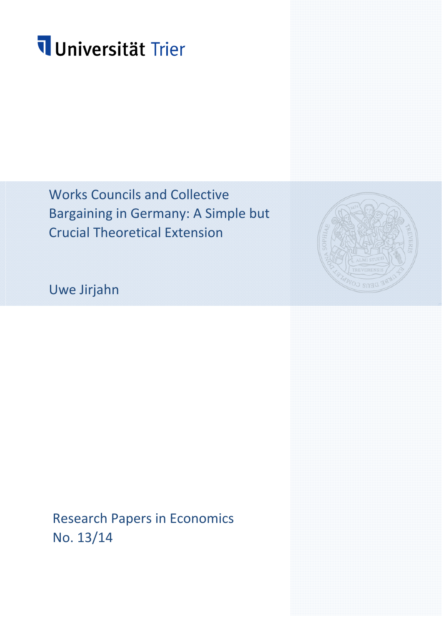# Universität Trier

Works Councils and Collective Bargaining in Germany: A Simple but Crucial Theoretical Extension



Uwe Jirjahn

Research Papers in Economics No. 13/14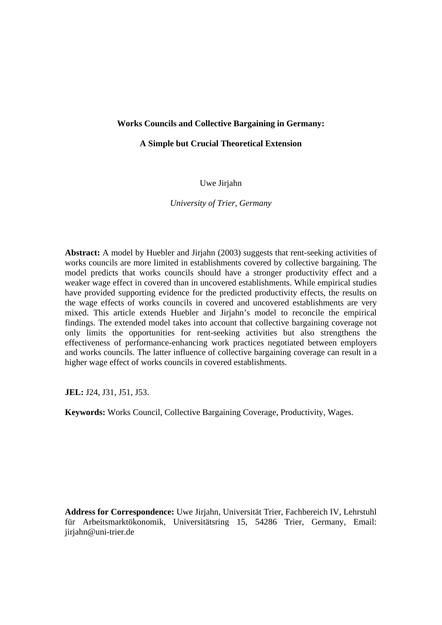## **Works Councils and Collective Bargaining in Germany:**

#### **A Simple but Crucial Theoretical Extension**

Uwe Jirjahn

*University of Trier, Germany* 

**Abstract:** A model by Huebler and Jirjahn (2003) suggests that rent-seeking activities of works councils are more limited in establishments covered by collective bargaining. The model predicts that works councils should have a stronger productivity effect and a weaker wage effect in covered than in uncovered establishments. While empirical studies have provided supporting evidence for the predicted productivity effects, the results on the wage effects of works councils in covered and uncovered establishments are very mixed. This article extends Huebler and Jirjahn's model to reconcile the empirical findings. The extended model takes into account that collective bargaining coverage not only limits the opportunities for rent-seeking activities but also strengthens the effectiveness of performance-enhancing work practices negotiated between employers and works councils. The latter influence of collective bargaining coverage can result in a higher wage effect of works councils in covered establishments.

**JEL:** J24, J31, J51, J53.

**Keywords:** Works Council, Collective Bargaining Coverage, Productivity, Wages.

**Address for Correspondence:** Uwe Jirjahn, Universität Trier, Fachbereich IV, Lehrstuhl für Arbeitsmarktökonomik, Universitätsring 15, 54286 Trier, Germany, Email: jirjahn@uni-trier.de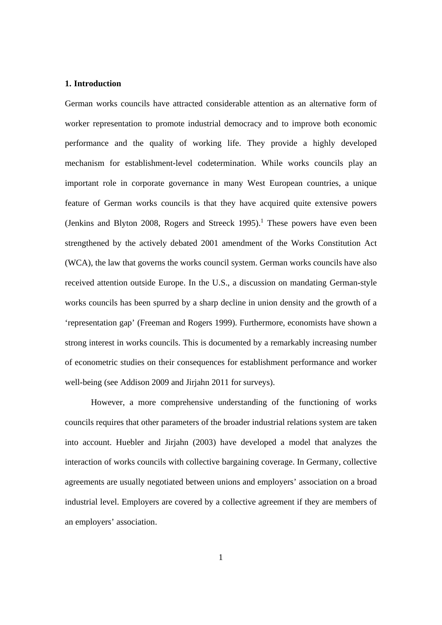#### **1. Introduction**

German works councils have attracted considerable attention as an alternative form of worker representation to promote industrial democracy and to improve both economic performance and the quality of working life. They provide a highly developed mechanism for establishment-level codetermination. While works councils play an important role in corporate governance in many West European countries, a unique feature of German works councils is that they have acquired quite extensive powers (Jenkins and Blyton 2008, Rogers and Streeck  $1995$ ).<sup>1</sup> These powers have even been strengthened by the actively debated 2001 amendment of the Works Constitution Act (WCA), the law that governs the works council system. German works councils have also received attention outside Europe. In the U.S., a discussion on mandating German-style works councils has been spurred by a sharp decline in union density and the growth of a 'representation gap' (Freeman and Rogers 1999). Furthermore, economists have shown a strong interest in works councils. This is documented by a remarkably increasing number of econometric studies on their consequences for establishment performance and worker well-being (see Addison 2009 and Jirjahn 2011 for surveys).

 However, a more comprehensive understanding of the functioning of works councils requires that other parameters of the broader industrial relations system are taken into account. Huebler and Jirjahn (2003) have developed a model that analyzes the interaction of works councils with collective bargaining coverage. In Germany, collective agreements are usually negotiated between unions and employers' association on a broad industrial level. Employers are covered by a collective agreement if they are members of an employers' association.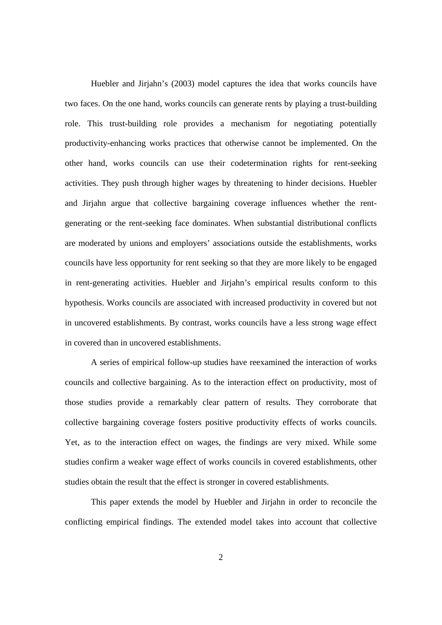Huebler and Jirjahn's (2003) model captures the idea that works councils have two faces. On the one hand, works councils can generate rents by playing a trust-building role. This trust-building role provides a mechanism for negotiating potentially productivity-enhancing works practices that otherwise cannot be implemented. On the other hand, works councils can use their codetermination rights for rent-seeking activities. They push through higher wages by threatening to hinder decisions. Huebler and Jirjahn argue that collective bargaining coverage influences whether the rentgenerating or the rent-seeking face dominates. When substantial distributional conflicts are moderated by unions and employers' associations outside the establishments, works councils have less opportunity for rent seeking so that they are more likely to be engaged in rent-generating activities. Huebler and Jirjahn's empirical results conform to this hypothesis. Works councils are associated with increased productivity in covered but not in uncovered establishments. By contrast, works councils have a less strong wage effect in covered than in uncovered establishments.

 A series of empirical follow-up studies have reexamined the interaction of works councils and collective bargaining. As to the interaction effect on productivity, most of those studies provide a remarkably clear pattern of results. They corroborate that collective bargaining coverage fosters positive productivity effects of works councils. Yet, as to the interaction effect on wages, the findings are very mixed. While some studies confirm a weaker wage effect of works councils in covered establishments, other studies obtain the result that the effect is stronger in covered establishments.

 This paper extends the model by Huebler and Jirjahn in order to reconcile the conflicting empirical findings. The extended model takes into account that collective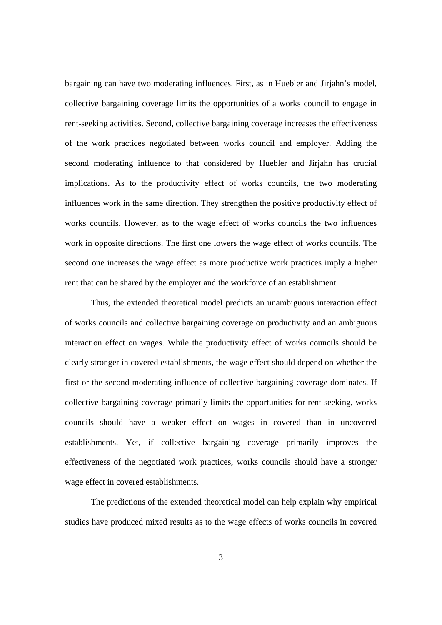bargaining can have two moderating influences. First, as in Huebler and Jirjahn's model, collective bargaining coverage limits the opportunities of a works council to engage in rent-seeking activities. Second, collective bargaining coverage increases the effectiveness of the work practices negotiated between works council and employer. Adding the second moderating influence to that considered by Huebler and Jirjahn has crucial implications. As to the productivity effect of works councils, the two moderating influences work in the same direction. They strengthen the positive productivity effect of works councils. However, as to the wage effect of works councils the two influences work in opposite directions. The first one lowers the wage effect of works councils. The second one increases the wage effect as more productive work practices imply a higher rent that can be shared by the employer and the workforce of an establishment.

 Thus, the extended theoretical model predicts an unambiguous interaction effect of works councils and collective bargaining coverage on productivity and an ambiguous interaction effect on wages. While the productivity effect of works councils should be clearly stronger in covered establishments, the wage effect should depend on whether the first or the second moderating influence of collective bargaining coverage dominates. If collective bargaining coverage primarily limits the opportunities for rent seeking, works councils should have a weaker effect on wages in covered than in uncovered establishments. Yet, if collective bargaining coverage primarily improves the effectiveness of the negotiated work practices, works councils should have a stronger wage effect in covered establishments.

 The predictions of the extended theoretical model can help explain why empirical studies have produced mixed results as to the wage effects of works councils in covered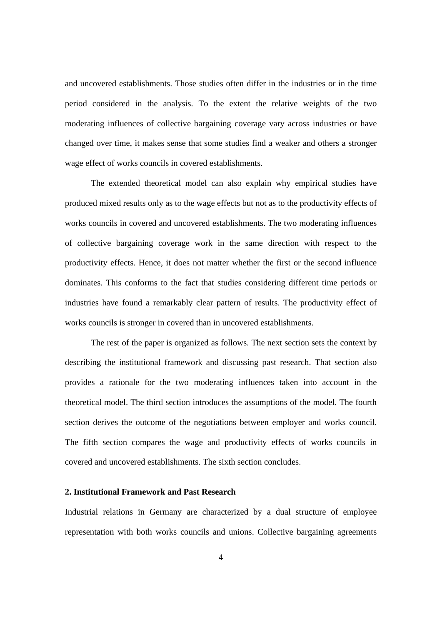and uncovered establishments. Those studies often differ in the industries or in the time period considered in the analysis. To the extent the relative weights of the two moderating influences of collective bargaining coverage vary across industries or have changed over time, it makes sense that some studies find a weaker and others a stronger wage effect of works councils in covered establishments.

 The extended theoretical model can also explain why empirical studies have produced mixed results only as to the wage effects but not as to the productivity effects of works councils in covered and uncovered establishments. The two moderating influences of collective bargaining coverage work in the same direction with respect to the productivity effects. Hence, it does not matter whether the first or the second influence dominates. This conforms to the fact that studies considering different time periods or industries have found a remarkably clear pattern of results. The productivity effect of works councils is stronger in covered than in uncovered establishments.

 The rest of the paper is organized as follows. The next section sets the context by describing the institutional framework and discussing past research. That section also provides a rationale for the two moderating influences taken into account in the theoretical model. The third section introduces the assumptions of the model. The fourth section derives the outcome of the negotiations between employer and works council. The fifth section compares the wage and productivity effects of works councils in covered and uncovered establishments. The sixth section concludes.

#### **2. Institutional Framework and Past Research**

Industrial relations in Germany are characterized by a dual structure of employee representation with both works councils and unions. Collective bargaining agreements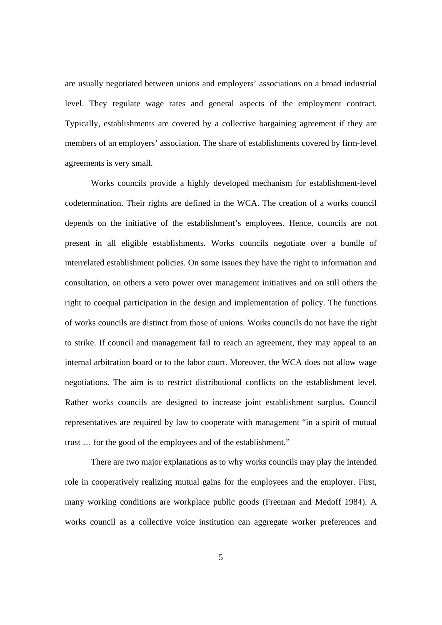are usually negotiated between unions and employers' associations on a broad industrial level. They regulate wage rates and general aspects of the employment contract. Typically, establishments are covered by a collective bargaining agreement if they are members of an employers' association. The share of establishments covered by firm-level agreements is very small.

 Works councils provide a highly developed mechanism for establishment-level codetermination. Their rights are defined in the WCA. The creation of a works council depends on the initiative of the establishment's employees. Hence, councils are not present in all eligible establishments. Works councils negotiate over a bundle of interrelated establishment policies. On some issues they have the right to information and consultation, on others a veto power over management initiatives and on still others the right to coequal participation in the design and implementation of policy. The functions of works councils are distinct from those of unions. Works councils do not have the right to strike. If council and management fail to reach an agreement, they may appeal to an internal arbitration board or to the labor court. Moreover, the WCA does not allow wage negotiations. The aim is to restrict distributional conflicts on the establishment level. Rather works councils are designed to increase joint establishment surplus. Council representatives are required by law to cooperate with management "in a spirit of mutual trust … for the good of the employees and of the establishment."

 There are two major explanations as to why works councils may play the intended role in cooperatively realizing mutual gains for the employees and the employer. First, many working conditions are workplace public goods (Freeman and Medoff 1984). A works council as a collective voice institution can aggregate worker preferences and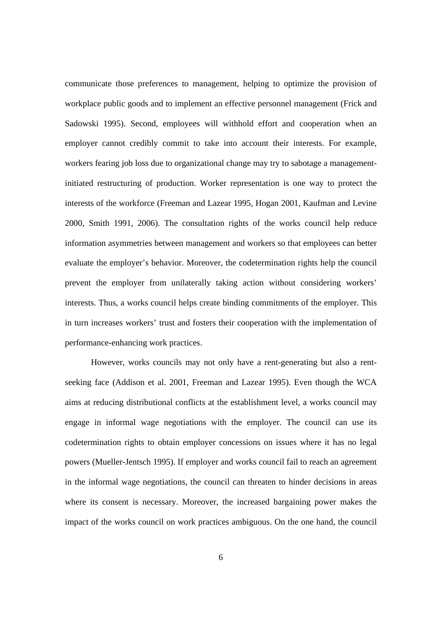communicate those preferences to management, helping to optimize the provision of workplace public goods and to implement an effective personnel management (Frick and Sadowski 1995). Second, employees will withhold effort and cooperation when an employer cannot credibly commit to take into account their interests. For example, workers fearing job loss due to organizational change may try to sabotage a managementinitiated restructuring of production. Worker representation is one way to protect the interests of the workforce (Freeman and Lazear 1995, Hogan 2001, Kaufman and Levine 2000, Smith 1991, 2006). The consultation rights of the works council help reduce information asymmetries between management and workers so that employees can better evaluate the employer's behavior. Moreover, the codetermination rights help the council prevent the employer from unilaterally taking action without considering workers' interests. Thus, a works council helps create binding commitments of the employer. This in turn increases workers' trust and fosters their cooperation with the implementation of performance-enhancing work practices.

 However, works councils may not only have a rent-generating but also a rentseeking face (Addison et al. 2001, Freeman and Lazear 1995). Even though the WCA aims at reducing distributional conflicts at the establishment level, a works council may engage in informal wage negotiations with the employer. The council can use its codetermination rights to obtain employer concessions on issues where it has no legal powers (Mueller-Jentsch 1995). If employer and works council fail to reach an agreement in the informal wage negotiations, the council can threaten to hinder decisions in areas where its consent is necessary. Moreover, the increased bargaining power makes the impact of the works council on work practices ambiguous. On the one hand, the council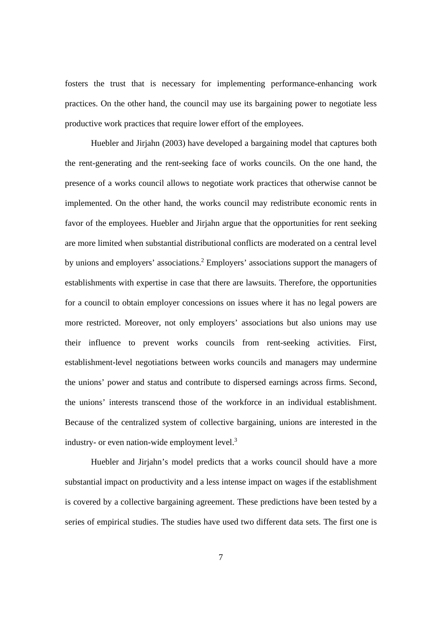fosters the trust that is necessary for implementing performance-enhancing work practices. On the other hand, the council may use its bargaining power to negotiate less productive work practices that require lower effort of the employees.

 Huebler and Jirjahn (2003) have developed a bargaining model that captures both the rent-generating and the rent-seeking face of works councils. On the one hand, the presence of a works council allows to negotiate work practices that otherwise cannot be implemented. On the other hand, the works council may redistribute economic rents in favor of the employees. Huebler and Jirjahn argue that the opportunities for rent seeking are more limited when substantial distributional conflicts are moderated on a central level by unions and employers' associations.<sup>2</sup> Employers' associations support the managers of establishments with expertise in case that there are lawsuits. Therefore, the opportunities for a council to obtain employer concessions on issues where it has no legal powers are more restricted. Moreover, not only employers' associations but also unions may use their influence to prevent works councils from rent-seeking activities. First, establishment-level negotiations between works councils and managers may undermine the unions' power and status and contribute to dispersed earnings across firms. Second, the unions' interests transcend those of the workforce in an individual establishment. Because of the centralized system of collective bargaining, unions are interested in the industry- or even nation-wide employment level.<sup>3</sup>

 Huebler and Jirjahn's model predicts that a works council should have a more substantial impact on productivity and a less intense impact on wages if the establishment is covered by a collective bargaining agreement. These predictions have been tested by a series of empirical studies. The studies have used two different data sets. The first one is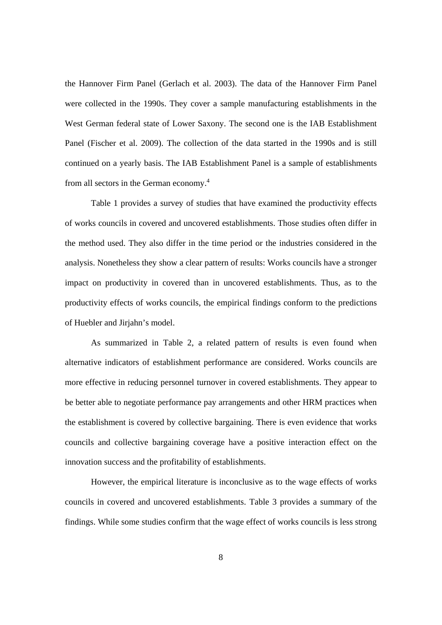the Hannover Firm Panel (Gerlach et al. 2003). The data of the Hannover Firm Panel were collected in the 1990s. They cover a sample manufacturing establishments in the West German federal state of Lower Saxony. The second one is the IAB Establishment Panel (Fischer et al. 2009). The collection of the data started in the 1990s and is still continued on a yearly basis. The IAB Establishment Panel is a sample of establishments from all sectors in the German economy.4

 Table 1 provides a survey of studies that have examined the productivity effects of works councils in covered and uncovered establishments. Those studies often differ in the method used. They also differ in the time period or the industries considered in the analysis. Nonetheless they show a clear pattern of results: Works councils have a stronger impact on productivity in covered than in uncovered establishments. Thus, as to the productivity effects of works councils, the empirical findings conform to the predictions of Huebler and Jirjahn's model.

 As summarized in Table 2, a related pattern of results is even found when alternative indicators of establishment performance are considered. Works councils are more effective in reducing personnel turnover in covered establishments. They appear to be better able to negotiate performance pay arrangements and other HRM practices when the establishment is covered by collective bargaining. There is even evidence that works councils and collective bargaining coverage have a positive interaction effect on the innovation success and the profitability of establishments.

 However, the empirical literature is inconclusive as to the wage effects of works councils in covered and uncovered establishments. Table 3 provides a summary of the findings. While some studies confirm that the wage effect of works councils is less strong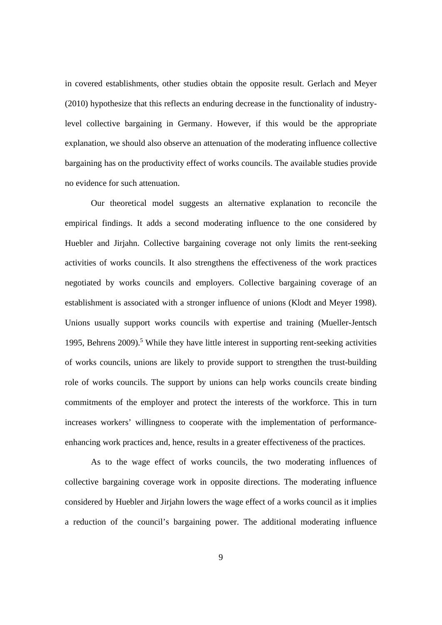in covered establishments, other studies obtain the opposite result. Gerlach and Meyer (2010) hypothesize that this reflects an enduring decrease in the functionality of industrylevel collective bargaining in Germany. However, if this would be the appropriate explanation, we should also observe an attenuation of the moderating influence collective bargaining has on the productivity effect of works councils. The available studies provide no evidence for such attenuation.

 Our theoretical model suggests an alternative explanation to reconcile the empirical findings. It adds a second moderating influence to the one considered by Huebler and Jirjahn. Collective bargaining coverage not only limits the rent-seeking activities of works councils. It also strengthens the effectiveness of the work practices negotiated by works councils and employers. Collective bargaining coverage of an establishment is associated with a stronger influence of unions (Klodt and Meyer 1998). Unions usually support works councils with expertise and training (Mueller-Jentsch 1995, Behrens 2009).<sup>5</sup> While they have little interest in supporting rent-seeking activities of works councils, unions are likely to provide support to strengthen the trust-building role of works councils. The support by unions can help works councils create binding commitments of the employer and protect the interests of the workforce. This in turn increases workers' willingness to cooperate with the implementation of performanceenhancing work practices and, hence, results in a greater effectiveness of the practices.

 As to the wage effect of works councils, the two moderating influences of collective bargaining coverage work in opposite directions. The moderating influence considered by Huebler and Jirjahn lowers the wage effect of a works council as it implies a reduction of the council's bargaining power. The additional moderating influence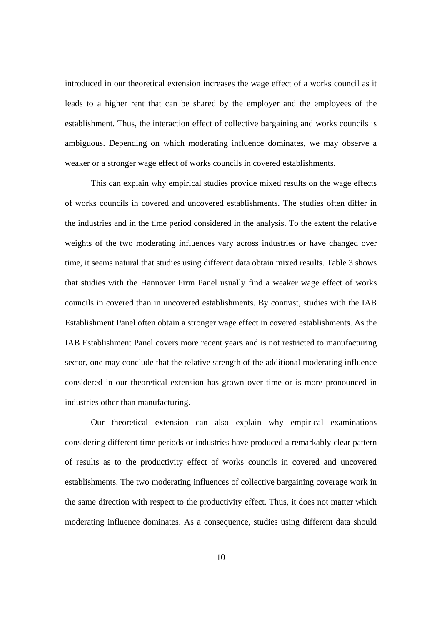introduced in our theoretical extension increases the wage effect of a works council as it leads to a higher rent that can be shared by the employer and the employees of the establishment. Thus, the interaction effect of collective bargaining and works councils is ambiguous. Depending on which moderating influence dominates, we may observe a weaker or a stronger wage effect of works councils in covered establishments.

This can explain why empirical studies provide mixed results on the wage effects of works councils in covered and uncovered establishments. The studies often differ in the industries and in the time period considered in the analysis. To the extent the relative weights of the two moderating influences vary across industries or have changed over time, it seems natural that studies using different data obtain mixed results. Table 3 shows that studies with the Hannover Firm Panel usually find a weaker wage effect of works councils in covered than in uncovered establishments. By contrast, studies with the IAB Establishment Panel often obtain a stronger wage effect in covered establishments. As the IAB Establishment Panel covers more recent years and is not restricted to manufacturing sector, one may conclude that the relative strength of the additional moderating influence considered in our theoretical extension has grown over time or is more pronounced in industries other than manufacturing.

 Our theoretical extension can also explain why empirical examinations considering different time periods or industries have produced a remarkably clear pattern of results as to the productivity effect of works councils in covered and uncovered establishments. The two moderating influences of collective bargaining coverage work in the same direction with respect to the productivity effect. Thus, it does not matter which moderating influence dominates. As a consequence, studies using different data should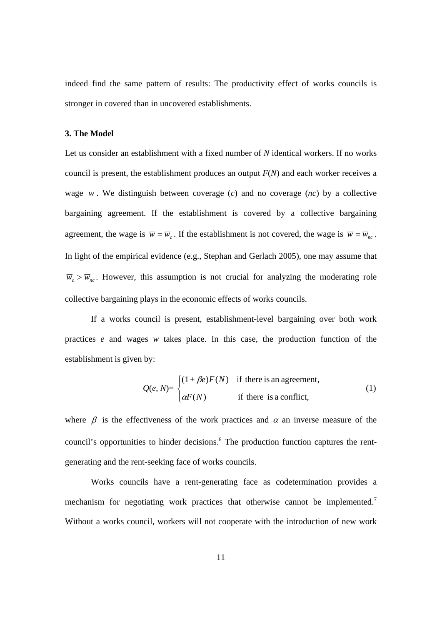indeed find the same pattern of results: The productivity effect of works councils is stronger in covered than in uncovered establishments.

## **3. The Model**

Let us consider an establishment with a fixed number of N identical workers. If no works council is present, the establishment produces an output *F*(*N*) and each worker receives a wage  $\overline{w}$ . We distinguish between coverage (*c*) and no coverage (*nc*) by a collective bargaining agreement. If the establishment is covered by a collective bargaining agreement, the wage is  $\overline{w} = \overline{w}_c$ . If the establishment is not covered, the wage is  $\overline{w} = \overline{w}_{wc}$ . In light of the empirical evidence (e.g., Stephan and Gerlach 2005), one may assume that  $\overline{w}_c > \overline{w}_{nc}$ . However, this assumption is not crucial for analyzing the moderating role collective bargaining plays in the economic effects of works councils.

If a works council is present, establishment-level bargaining over both work practices *e* and wages *w* takes place. In this case, the production function of the establishment is given by:

$$
Q(e, N) = \begin{cases} (1 + \beta e)F(N) & \text{if there is an agreement,} \\ \alpha F(N) & \text{if there is a conflict,} \end{cases}
$$
 (1)

where  $\beta$  is the effectiveness of the work practices and  $\alpha$  an inverse measure of the council's opportunities to hinder decisions.<sup>6</sup> The production function captures the rentgenerating and the rent-seeking face of works councils.

 Works councils have a rent-generating face as codetermination provides a mechanism for negotiating work practices that otherwise cannot be implemented.<sup>7</sup> Without a works council, workers will not cooperate with the introduction of new work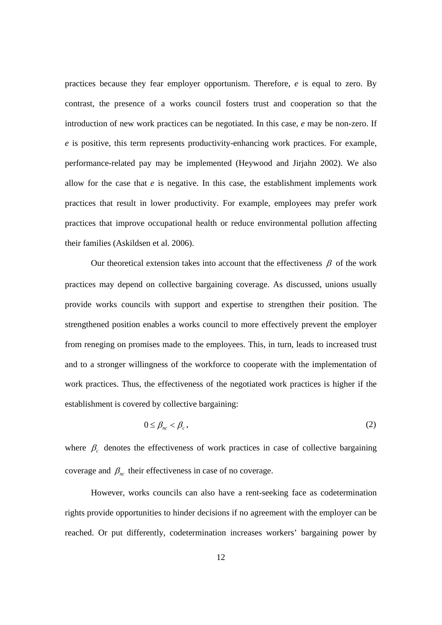practices because they fear employer opportunism. Therefore, *e* is equal to zero. By contrast, the presence of a works council fosters trust and cooperation so that the introduction of new work practices can be negotiated. In this case, *e* may be non-zero. If *e* is positive, this term represents productivity-enhancing work practices. For example, performance-related pay may be implemented (Heywood and Jirjahn 2002). We also allow for the case that *e* is negative. In this case, the establishment implements work practices that result in lower productivity. For example, employees may prefer work practices that improve occupational health or reduce environmental pollution affecting their families (Askildsen et al. 2006).

Our theoretical extension takes into account that the effectiveness  $\beta$  of the work practices may depend on collective bargaining coverage. As discussed, unions usually provide works councils with support and expertise to strengthen their position. The strengthened position enables a works council to more effectively prevent the employer from reneging on promises made to the employees. This, in turn, leads to increased trust and to a stronger willingness of the workforce to cooperate with the implementation of work practices. Thus, the effectiveness of the negotiated work practices is higher if the establishment is covered by collective bargaining:

$$
0 \leq \beta_{nc} < \beta_c \,,\tag{2}
$$

where  $\beta_c$  denotes the effectiveness of work practices in case of collective bargaining coverage and  $\beta_{nc}$  their effectiveness in case of no coverage.

However, works councils can also have a rent-seeking face as codetermination rights provide opportunities to hinder decisions if no agreement with the employer can be reached. Or put differently, codetermination increases workers' bargaining power by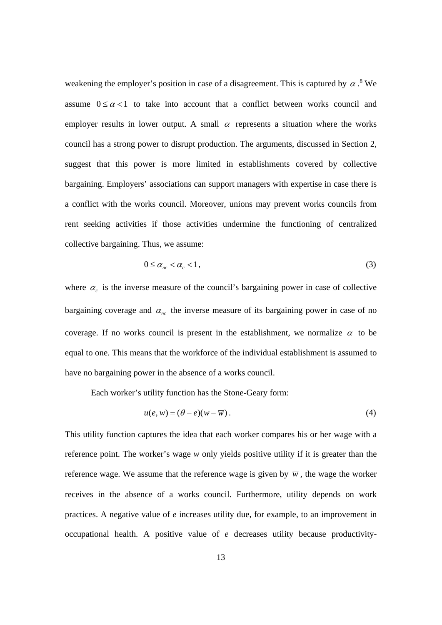weakening the employer's position in case of a disagreement. This is captured by  $\alpha$ .<sup>8</sup> We assume  $0 \le \alpha < 1$  to take into account that a conflict between works council and employer results in lower output. A small  $\alpha$  represents a situation where the works council has a strong power to disrupt production. The arguments, discussed in Section 2, suggest that this power is more limited in establishments covered by collective bargaining. Employers' associations can support managers with expertise in case there is a conflict with the works council. Moreover, unions may prevent works councils from rent seeking activities if those activities undermine the functioning of centralized collective bargaining. Thus, we assume:

$$
0 \leq \alpha_{nc} < \alpha_{c} < 1,\tag{3}
$$

where  $\alpha_c$  is the inverse measure of the council's bargaining power in case of collective bargaining coverage and  $\alpha_{nc}$  the inverse measure of its bargaining power in case of no coverage. If no works council is present in the establishment, we normalize  $\alpha$  to be equal to one. This means that the workforce of the individual establishment is assumed to have no bargaining power in the absence of a works council.

Each worker's utility function has the Stone-Geary form:

$$
u(e, w) = (\theta - e)(w - \overline{w}).
$$
\n(4)

This utility function captures the idea that each worker compares his or her wage with a reference point. The worker's wage *w* only yields positive utility if it is greater than the reference wage. We assume that the reference wage is given by  $\overline{w}$ , the wage the worker receives in the absence of a works council. Furthermore, utility depends on work practices. A negative value of *e* increases utility due, for example, to an improvement in occupational health. A positive value of *e* decreases utility because productivity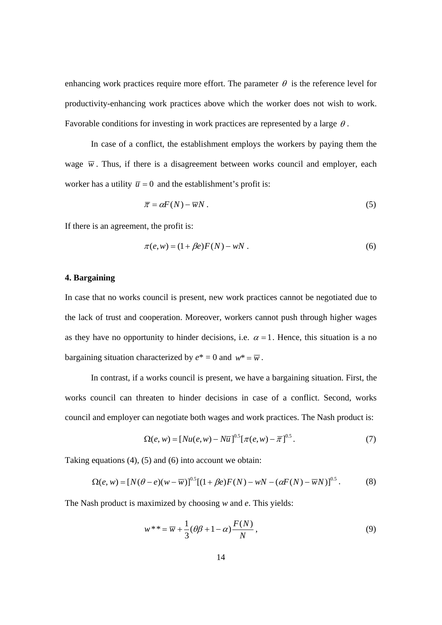enhancing work practices require more effort. The parameter  $\theta$  is the reference level for productivity-enhancing work practices above which the worker does not wish to work. Favorable conditions for investing in work practices are represented by a large  $\theta$ .

In case of a conflict, the establishment employs the workers by paying them the wage  $\overline{w}$ . Thus, if there is a disagreement between works council and employer, each worker has a utility  $\bar{u} = 0$  and the establishment's profit is:

$$
\overline{\pi} = \alpha F(N) - \overline{w}N. \tag{5}
$$

If there is an agreement, the profit is:

$$
\pi(e, w) = (1 + \beta e)F(N) - wN.
$$
 (6)

## **4. Bargaining**

In case that no works council is present, new work practices cannot be negotiated due to the lack of trust and cooperation. Moreover, workers cannot push through higher wages as they have no opportunity to hinder decisions, i.e.  $\alpha = 1$ . Hence, this situation is a no bargaining situation characterized by  $e^* = 0$  and  $w^* = \overline{w}$ .

 In contrast, if a works council is present, we have a bargaining situation. First, the works council can threaten to hinder decisions in case of a conflict. Second, works council and employer can negotiate both wages and work practices. The Nash product is:

$$
\Omega(e, w) = [Nu(e, w) - N\overline{u}]^{0.5} [\pi(e, w) - \overline{\pi}]^{0.5}.
$$
 (7)

Taking equations (4), (5) and (6) into account we obtain:

$$
\Omega(e, w) = [N(\theta - e)(w - \overline{w})]^{0.5} [(1 + \beta e)F(N) - wN - (\alpha F(N) - \overline{w}N)]^{0.5}.
$$
 (8)

The Nash product is maximized by choosing *w* and *e*. This yields:

$$
w^{**} = \overline{w} + \frac{1}{3}(\theta\beta + 1 - \alpha)\frac{F(N)}{N},\tag{9}
$$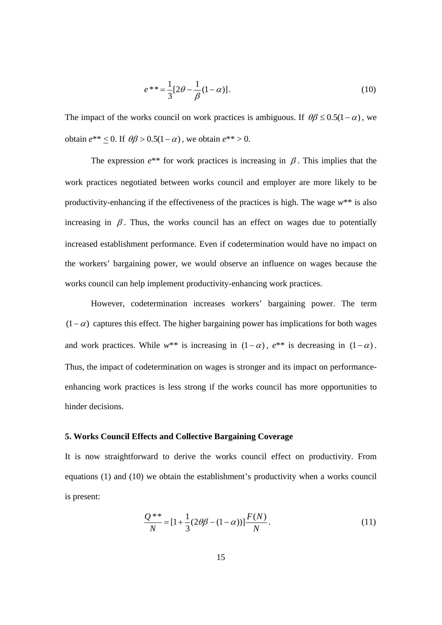$$
e^{**} = \frac{1}{3} [2\theta - \frac{1}{\beta} (1 - \alpha)].
$$
 (10)

The impact of the works council on work practices is ambiguous. If  $\theta\beta \leq 0.5(1-\alpha)$ , we obtain  $e^{**} < 0$ . If  $\theta \beta > 0.5(1-\alpha)$ , we obtain  $e^{**} > 0$ .

The expression  $e^{**}$  for work practices is increasing in  $\beta$ . This implies that the work practices negotiated between works council and employer are more likely to be productivity-enhancing if the effectiveness of the practices is high. The wage *w*\*\* is also increasing in  $\beta$ . Thus, the works council has an effect on wages due to potentially increased establishment performance. Even if codetermination would have no impact on the workers' bargaining power, we would observe an influence on wages because the works council can help implement productivity-enhancing work practices.

However, codetermination increases workers' bargaining power. The term  $(1-\alpha)$  captures this effect. The higher bargaining power has implications for both wages and work practices. While  $w^{**}$  is increasing in  $(1 - \alpha)$ ,  $e^{**}$  is decreasing in  $(1 - \alpha)$ . Thus, the impact of codetermination on wages is stronger and its impact on performanceenhancing work practices is less strong if the works council has more opportunities to hinder decisions.

# **5. Works Council Effects and Collective Bargaining Coverage**

It is now straightforward to derive the works council effect on productivity. From equations (1) and (10) we obtain the establishment's productivity when a works council is present:

$$
\frac{Q^{**}}{N} = [1 + \frac{1}{3}(2\theta\beta - (1 - \alpha))] \frac{F(N)}{N}.
$$
\n(11)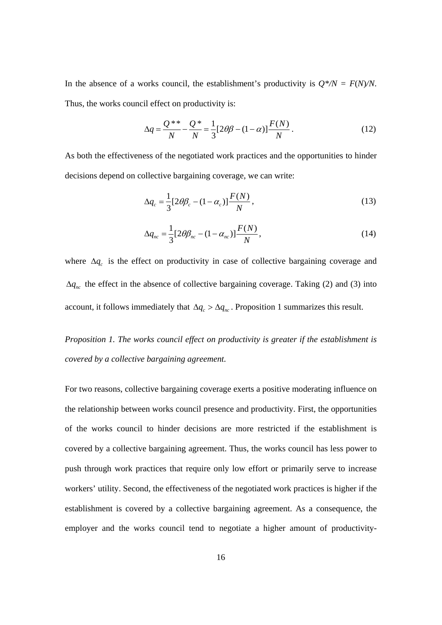In the absence of a works council, the establishment's productivity is  $Q^*/N = F(N)/N$ . Thus, the works council effect on productivity is:

$$
\Delta q = \frac{Q^{**}}{N} - \frac{Q^*}{N} = \frac{1}{3} [2\theta\beta - (1 - \alpha)] \frac{F(N)}{N}.
$$
 (12)

As both the effectiveness of the negotiated work practices and the opportunities to hinder decisions depend on collective bargaining coverage, we can write:

$$
\Delta q_c = \frac{1}{3} [2\theta \beta_c - (1 - \alpha_c)] \frac{F(N)}{N},\qquad(13)
$$

$$
\Delta q_{nc} = \frac{1}{3} [2\theta \beta_{nc} - (1 - \alpha_{nc})] \frac{F(N)}{N}, \qquad (14)
$$

where  $\Delta q_c$  is the effect on productivity in case of collective bargaining coverage and  $\Delta q_{nc}$  the effect in the absence of collective bargaining coverage. Taking (2) and (3) into account, it follows immediately that  $\Delta q_c > \Delta q_{nc}$ . Proposition 1 summarizes this result.

*Proposition 1. The works council effect on productivity is greater if the establishment is covered by a collective bargaining agreement.* 

For two reasons, collective bargaining coverage exerts a positive moderating influence on the relationship between works council presence and productivity. First, the opportunities of the works council to hinder decisions are more restricted if the establishment is covered by a collective bargaining agreement. Thus, the works council has less power to push through work practices that require only low effort or primarily serve to increase workers' utility. Second, the effectiveness of the negotiated work practices is higher if the establishment is covered by a collective bargaining agreement. As a consequence, the employer and the works council tend to negotiate a higher amount of productivity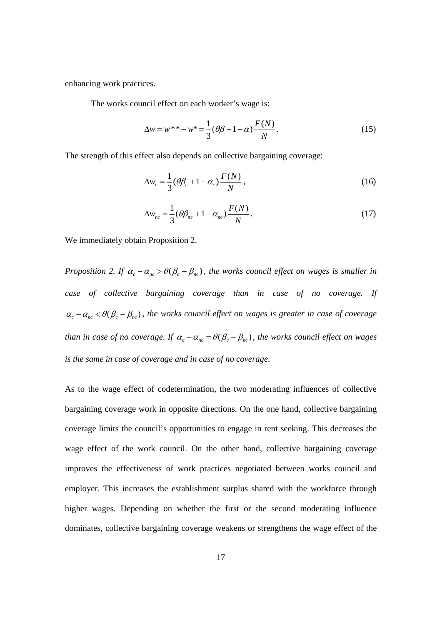enhancing work practices.

The works council effect on each worker's wage is:

$$
\Delta w = w^{**} - w^* = \frac{1}{3} (\theta \beta + 1 - \alpha) \frac{F(N)}{N}.
$$
 (15)

The strength of this effect also depends on collective bargaining coverage:

$$
\Delta w_c = \frac{1}{3} (\theta \beta_c + 1 - \alpha_c) \frac{F(N)}{N}, \qquad (16)
$$

$$
\Delta w_{nc} = \frac{1}{3} (\theta \beta_{nc} + 1 - \alpha_{nc}) \frac{F(N)}{N}.
$$
\n(17)

We immediately obtain Proposition 2.

*Proposition 2. If*  $\alpha_c - \alpha_{nc} > \theta(\beta_c - \beta_{nc})$ , the works council effect on wages is smaller in *case of collective bargaining coverage than in case of no coverage. If*   $\alpha_c - \alpha_{nc} < \theta(\beta_c - \beta_{nc})$ , the works council effect on wages is greater in case of coverage *than in case of no coverage. If*  $\alpha_c - \alpha_{nc} = \theta(\beta_c - \beta_{nc})$ , the works council effect on wages *is the same in case of coverage and in case of no coverage.* 

As to the wage effect of codetermination, the two moderating influences of collective bargaining coverage work in opposite directions. On the one hand, collective bargaining coverage limits the council's opportunities to engage in rent seeking. This decreases the wage effect of the work council. On the other hand, collective bargaining coverage improves the effectiveness of work practices negotiated between works council and employer. This increases the establishment surplus shared with the workforce through higher wages. Depending on whether the first or the second moderating influence dominates, collective bargaining coverage weakens or strengthens the wage effect of the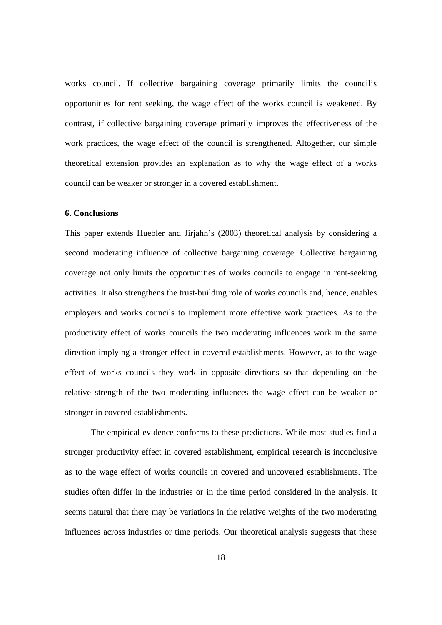works council. If collective bargaining coverage primarily limits the council's opportunities for rent seeking, the wage effect of the works council is weakened. By contrast, if collective bargaining coverage primarily improves the effectiveness of the work practices, the wage effect of the council is strengthened. Altogether, our simple theoretical extension provides an explanation as to why the wage effect of a works council can be weaker or stronger in a covered establishment.

#### **6. Conclusions**

This paper extends Huebler and Jirjahn's (2003) theoretical analysis by considering a second moderating influence of collective bargaining coverage. Collective bargaining coverage not only limits the opportunities of works councils to engage in rent-seeking activities. It also strengthens the trust-building role of works councils and, hence, enables employers and works councils to implement more effective work practices. As to the productivity effect of works councils the two moderating influences work in the same direction implying a stronger effect in covered establishments. However, as to the wage effect of works councils they work in opposite directions so that depending on the relative strength of the two moderating influences the wage effect can be weaker or stronger in covered establishments.

The empirical evidence conforms to these predictions. While most studies find a stronger productivity effect in covered establishment, empirical research is inconclusive as to the wage effect of works councils in covered and uncovered establishments. The studies often differ in the industries or in the time period considered in the analysis. It seems natural that there may be variations in the relative weights of the two moderating influences across industries or time periods. Our theoretical analysis suggests that these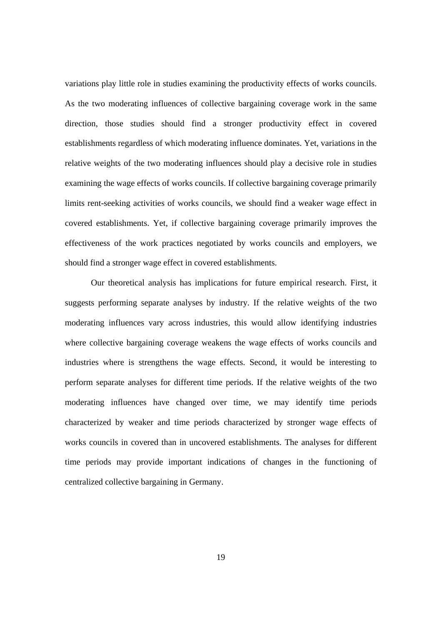variations play little role in studies examining the productivity effects of works councils. As the two moderating influences of collective bargaining coverage work in the same direction, those studies should find a stronger productivity effect in covered establishments regardless of which moderating influence dominates. Yet, variations in the relative weights of the two moderating influences should play a decisive role in studies examining the wage effects of works councils. If collective bargaining coverage primarily limits rent-seeking activities of works councils, we should find a weaker wage effect in covered establishments. Yet, if collective bargaining coverage primarily improves the effectiveness of the work practices negotiated by works councils and employers, we should find a stronger wage effect in covered establishments.

 Our theoretical analysis has implications for future empirical research. First, it suggests performing separate analyses by industry. If the relative weights of the two moderating influences vary across industries, this would allow identifying industries where collective bargaining coverage weakens the wage effects of works councils and industries where is strengthens the wage effects. Second, it would be interesting to perform separate analyses for different time periods. If the relative weights of the two moderating influences have changed over time, we may identify time periods characterized by weaker and time periods characterized by stronger wage effects of works councils in covered than in uncovered establishments. The analyses for different time periods may provide important indications of changes in the functioning of centralized collective bargaining in Germany.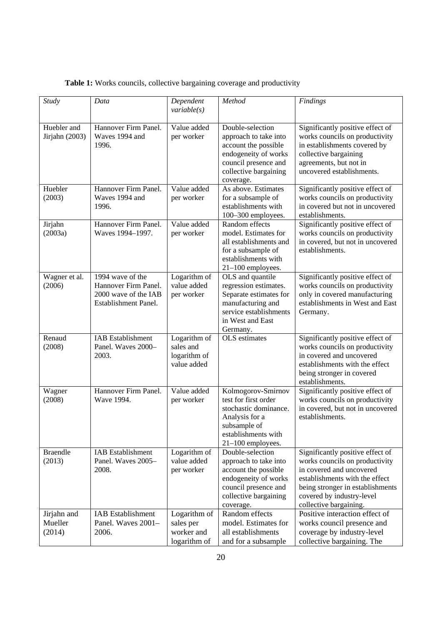|  |  |  | Table 1: Works councils, collective bargaining coverage and productivity |  |
|--|--|--|--------------------------------------------------------------------------|--|
|  |  |  |                                                                          |  |

| <b>Study</b>                     | Data                                                                                     | Dependent<br>variable(s)                                 | Method                                                                                                                                                  | <b>Findings</b>                                                                                                                                                                                                             |
|----------------------------------|------------------------------------------------------------------------------------------|----------------------------------------------------------|---------------------------------------------------------------------------------------------------------------------------------------------------------|-----------------------------------------------------------------------------------------------------------------------------------------------------------------------------------------------------------------------------|
| Huebler and<br>Jirjahn (2003)    | Hannover Firm Panel.<br>Waves 1994 and<br>1996.                                          | Value added<br>per worker                                | Double-selection<br>approach to take into<br>account the possible<br>endogeneity of works<br>council presence and<br>collective bargaining<br>coverage. | Significantly positive effect of<br>works councils on productivity<br>in establishments covered by<br>collective bargaining<br>agreements, but not in<br>uncovered establishments.                                          |
| Huebler<br>(2003)                | Hannover Firm Panel.<br>Waves 1994 and<br>1996.                                          | Value added<br>per worker                                | As above. Estimates<br>for a subsample of<br>establishments with<br>100-300 employees.                                                                  | Significantly positive effect of<br>works councils on productivity<br>in covered but not in uncovered<br>establishments.                                                                                                    |
| Jirjahn<br>(2003a)               | Hannover Firm Panel.<br>Waves 1994-1997.                                                 | Value added<br>per worker                                | Random effects<br>model. Estimates for<br>all establishments and<br>for a subsample of<br>establishments with<br>21-100 employees.                      | Significantly positive effect of<br>works councils on productivity<br>in covered, but not in uncovered<br>establishments.                                                                                                   |
| Wagner et al.<br>(2006)          | 1994 wave of the<br>Hannover Firm Panel.<br>2000 wave of the IAB<br>Establishment Panel. | Logarithm of<br>value added<br>per worker                | OLS and quantile<br>regression estimates.<br>Separate estimates for<br>manufacturing and<br>service establishments<br>in West and East<br>Germany.      | Significantly positive effect of<br>works councils on productivity<br>only in covered manufacturing<br>establishments in West and East<br>Germany.                                                                          |
| Renaud<br>(2008)                 | <b>IAB</b> Establishment<br>Panel. Waves 2000-<br>2003.                                  | Logarithm of<br>sales and<br>logarithm of<br>value added | OLS estimates                                                                                                                                           | Significantly positive effect of<br>works councils on productivity<br>in covered and uncovered<br>establishments with the effect<br>being stronger in covered<br>establishments.                                            |
| Wagner<br>(2008)                 | Hannover Firm Panel.<br>Wave 1994.                                                       | Value added<br>per worker                                | Kolmogorov-Smirnov<br>test for first order<br>stochastic dominance.<br>Analysis for a<br>subsample of<br>establishments with<br>$21-100$ employees.     | Significantly positive effect of<br>works councils on productivity<br>in covered, but not in uncovered<br>establishments.                                                                                                   |
| <b>Braendle</b><br>(2013)        | <b>IAB</b> Establishment<br>Panel. Waves 2005-<br>2008.                                  | Logarithm of<br>value added<br>per worker                | Double-selection<br>approach to take into<br>account the possible<br>endogeneity of works<br>council presence and<br>collective bargaining<br>coverage. | Significantly positive effect of<br>works councils on productivity<br>in covered and uncovered<br>establishments with the effect<br>being stronger in establishments<br>covered by industry-level<br>collective bargaining. |
| Jirjahn and<br>Mueller<br>(2014) | <b>IAB</b> Establishment<br>Panel. Waves 2001-<br>2006.                                  | Logarithm of<br>sales per<br>worker and<br>logarithm of  | Random effects<br>model. Estimates for<br>all establishments<br>and for a subsample                                                                     | Positive interaction effect of<br>works council presence and<br>coverage by industry-level<br>collective bargaining. The                                                                                                    |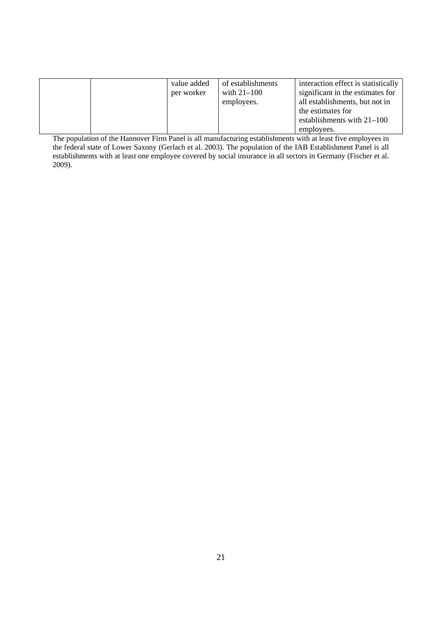|  | value added | of establishments | interaction effect is statistically |
|--|-------------|-------------------|-------------------------------------|
|  | per worker  | with $21-100$     | significant in the estimates for    |
|  |             | employees.        | all establishments, but not in      |
|  |             |                   | the estimates for                   |
|  |             |                   | establishments with $21-100$        |
|  |             |                   | employees.                          |

The population of the Hannover Firm Panel is all manufacturing establishments with at least five employees in the federal state of Lower Saxony (Gerlach et al. 2003). The population of the IAB Establishment Panel is all establishments with at least one employee covered by social insurance in all sectors in Germany (Fischer et al. 2009).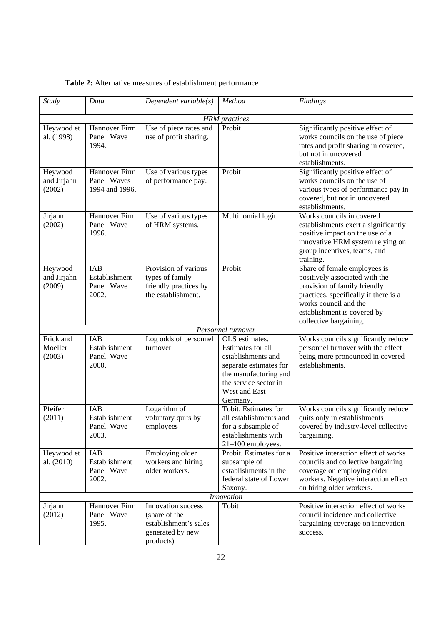| <b>Table 2:</b> Alternative measures of establishment performance |  |  |
|-------------------------------------------------------------------|--|--|
|-------------------------------------------------------------------|--|--|

| $\overline$ <i>Study</i>         | Data                                                | Dependent variable $(s)$                                                                      | Method                                                                                                                                                             | Findings                                                                                                                                                                                                                  |  |  |
|----------------------------------|-----------------------------------------------------|-----------------------------------------------------------------------------------------------|--------------------------------------------------------------------------------------------------------------------------------------------------------------------|---------------------------------------------------------------------------------------------------------------------------------------------------------------------------------------------------------------------------|--|--|
| <b>HRM</b> practices             |                                                     |                                                                                               |                                                                                                                                                                    |                                                                                                                                                                                                                           |  |  |
| Heywood et<br>al. (1998)         | Hannover Firm<br>Panel. Wave<br>1994.               | Use of piece rates and<br>use of profit sharing.                                              | Probit                                                                                                                                                             | Significantly positive effect of<br>works councils on the use of piece<br>rates and profit sharing in covered,<br>but not in uncovered<br>establishments.                                                                 |  |  |
| Heywood<br>and Jirjahn<br>(2002) | Hannover Firm<br>Panel. Waves<br>1994 and 1996.     | Use of various types<br>of performance pay.                                                   | Probit                                                                                                                                                             | Significantly positive effect of<br>works councils on the use of<br>various types of performance pay in<br>covered, but not in uncovered<br>establishments.                                                               |  |  |
| Jirjahn<br>(2002)                | Hannover Firm<br>Panel. Wave<br>1996.               | Use of various types<br>of HRM systems.                                                       | Multinomial logit                                                                                                                                                  | Works councils in covered<br>establishments exert a significantly<br>positive impact on the use of a<br>innovative HRM system relying on<br>group incentives, teams, and<br>training.                                     |  |  |
| Heywood<br>and Jirjahn<br>(2009) | IAB<br>Establishment<br>Panel. Wave<br>2002.        | Provision of various<br>types of family<br>friendly practices by<br>the establishment.        | Probit                                                                                                                                                             | Share of female employees is<br>positively associated with the<br>provision of family friendly<br>practices, specifically if there is a<br>works council and the<br>establishment is covered by<br>collective bargaining. |  |  |
|                                  |                                                     |                                                                                               | Personnel turnover                                                                                                                                                 |                                                                                                                                                                                                                           |  |  |
| Frick and<br>Moeller<br>(2003)   | IAB<br>Establishment<br>Panel. Wave<br>2000.        | Log odds of personnel<br>turnover                                                             | OLS estimates.<br>Estimates for all<br>establishments and<br>separate estimates for<br>the manufacturing and<br>the service sector in<br>West and East<br>Germany. | Works councils significantly reduce<br>personnel turnover with the effect<br>being more pronounced in covered<br>establishments.                                                                                          |  |  |
| Pfeifer<br>(2011)                | <b>IAB</b><br>Establishment<br>Panel. Wave<br>2003. | Logarithm of<br>voluntary quits by<br>employees                                               | Tobit. Estimates for<br>all establishments and<br>for a subsample of<br>establishments with<br>$21-100$ employees.                                                 | Works councils significantly reduce<br>quits only in establishments<br>covered by industry-level collective<br>bargaining.                                                                                                |  |  |
| Heywood et<br>al. (2010)         | IAB<br>Establishment<br>Panel. Wave<br>2002.        | Employing older<br>workers and hiring<br>older workers.                                       | Probit. Estimates for a<br>subsample of<br>establishments in the<br>federal state of Lower<br>Saxony.                                                              | Positive interaction effect of works<br>councils and collective bargaining<br>coverage on employing older<br>workers. Negative interaction effect<br>on hiring older workers.                                             |  |  |
|                                  |                                                     |                                                                                               | <b>Innovation</b>                                                                                                                                                  |                                                                                                                                                                                                                           |  |  |
| Jirjahn<br>(2012)                | Hannover Firm<br>Panel. Wave<br>1995.               | Innovation success<br>(share of the<br>establishment's sales<br>generated by new<br>products) | Tobit                                                                                                                                                              | Positive interaction effect of works<br>council incidence and collective<br>bargaining coverage on innovation<br>success.                                                                                                 |  |  |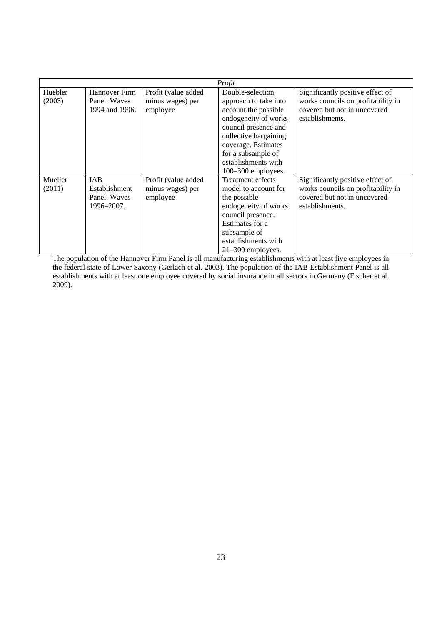|         |                |                     | Profit                   |                                    |
|---------|----------------|---------------------|--------------------------|------------------------------------|
| Huebler | Hannover Firm  | Profit (value added | Double-selection         | Significantly positive effect of   |
| (2003)  | Panel. Waves   | minus wages) per    | approach to take into    | works councils on profitability in |
|         | 1994 and 1996. | employee            | account the possible     | covered but not in uncovered       |
|         |                |                     | endogeneity of works     | establishments.                    |
|         |                |                     | council presence and     |                                    |
|         |                |                     | collective bargaining    |                                    |
|         |                |                     | coverage. Estimates      |                                    |
|         |                |                     | for a subsample of       |                                    |
|         |                |                     | establishments with      |                                    |
|         |                |                     | $100-300$ employees.     |                                    |
| Mueller | IAB            | Profit (value added | <b>Treatment effects</b> | Significantly positive effect of   |
| (2011)  | Establishment  | minus wages) per    | model to account for     | works councils on profitability in |
|         | Panel. Waves   | employee            | the possible             | covered but not in uncovered       |
|         | 1996–2007.     |                     | endogeneity of works     | establishments.                    |
|         |                |                     | council presence.        |                                    |
|         |                |                     | Estimates for a          |                                    |
|         |                |                     | subsample of             |                                    |
|         |                |                     | establishments with      |                                    |
|         |                |                     | $21-300$ employees.      |                                    |

The population of the Hannover Firm Panel is all manufacturing establishments with at least five employees in the federal state of Lower Saxony (Gerlach et al. 2003). The population of the IAB Establishment Panel is all establishments with at least one employee covered by social insurance in all sectors in Germany (Fischer et al. 2009).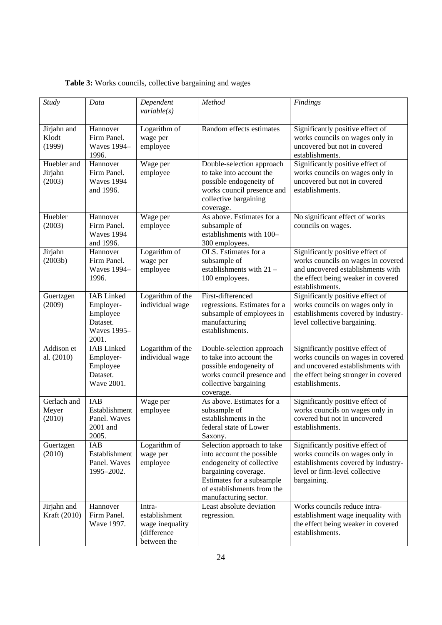|  |  | Table 3: Works councils, collective bargaining and wages |
|--|--|----------------------------------------------------------|
|  |  |                                                          |

| <b>Study</b>                     | Data                                                                                  | Dependent<br>variable(s)                                                 | Method                                                                                                                                                                                           | Findings                                                                                                                                                               |
|----------------------------------|---------------------------------------------------------------------------------------|--------------------------------------------------------------------------|--------------------------------------------------------------------------------------------------------------------------------------------------------------------------------------------------|------------------------------------------------------------------------------------------------------------------------------------------------------------------------|
| Jirjahn and<br>Klodt<br>(1999)   | Hannover<br>Firm Panel.<br><b>Waves</b> 1994-<br>1996.                                | Logarithm of<br>wage per<br>employee                                     | Random effects estimates                                                                                                                                                                         | Significantly positive effect of<br>works councils on wages only in<br>uncovered but not in covered<br>establishments.                                                 |
| Huebler and<br>Jirjahn<br>(2003) | Hannover<br>Firm Panel.<br><b>Waves 1994</b><br>and 1996.                             | Wage per<br>employee                                                     | Double-selection approach<br>to take into account the<br>possible endogeneity of<br>works council presence and<br>collective bargaining<br>coverage.                                             | Significantly positive effect of<br>works councils on wages only in<br>uncovered but not in covered<br>establishments.                                                 |
| Huebler<br>(2003)                | Hannover<br>Firm Panel.<br>Waves 1994<br>and 1996.                                    | Wage per<br>employee                                                     | As above. Estimates for a<br>subsample of<br>establishments with 100-<br>300 employees.                                                                                                          | No significant effect of works<br>councils on wages.                                                                                                                   |
| Jirjahn<br>(2003b)               | Hannover<br>Firm Panel.<br><b>Waves 1994-</b><br>1996.                                | Logarithm of<br>wage per<br>employee                                     | OLS. Estimates for a<br>subsample of<br>establishments with $21 -$<br>100 employees.                                                                                                             | Significantly positive effect of<br>works councils on wages in covered<br>and uncovered establishments with<br>the effect being weaker in covered<br>establishments.   |
| Guertzgen<br>(2009)              | <b>IAB</b> Linked<br>Employer-<br>Employee<br>Dataset.<br><b>Waves</b> 1995-<br>2001. | Logarithm of the<br>individual wage                                      | First-differenced<br>regressions. Estimates for a<br>subsample of employees in<br>manufacturing<br>establishments.                                                                               | Significantly positive effect of<br>works councils on wages only in<br>establishments covered by industry-<br>level collective bargaining.                             |
| Addison et<br>al. (2010)         | <b>IAB</b> Linked<br>Employer-<br>Employee<br>Dataset.<br>Wave 2001.                  | Logarithm of the<br>individual wage                                      | Double-selection approach<br>to take into account the<br>possible endogeneity of<br>works council presence and<br>collective bargaining<br>coverage.                                             | Significantly positive effect of<br>works councils on wages in covered<br>and uncovered establishments with<br>the effect being stronger in covered<br>establishments. |
| Gerlach and<br>Meyer<br>(2010)   | IAB<br>Establishment<br>Panel. Waves<br>2001 and<br>2005.                             | Wage per<br>employee                                                     | As above. Estimates for a<br>subsample of<br>establishments in the<br>federal state of Lower<br>Saxony.                                                                                          | Significantly positive effect of<br>works councils on wages only in<br>covered but not in uncovered<br>establishments.                                                 |
| Guertzgen<br>(2010)              | IAB<br>Establishment<br>Panel. Waves<br>1995-2002.                                    | Logarithm of<br>wage per<br>employee                                     | Selection approach to take<br>into account the possible<br>endogeneity of collective<br>bargaining coverage.<br>Estimates for a subsample<br>of establishments from the<br>manufacturing sector. | Significantly positive effect of<br>works councils on wages only in<br>establishments covered by industry-<br>level or firm-level collective<br>bargaining.            |
| Jirjahn and<br>Kraft (2010)      | Hannover<br>Firm Panel.<br>Wave 1997.                                                 | Intra-<br>establishment<br>wage inequality<br>(difference<br>between the | Least absolute deviation<br>regression.                                                                                                                                                          | Works councils reduce intra-<br>establishment wage inequality with<br>the effect being weaker in covered<br>establishments.                                            |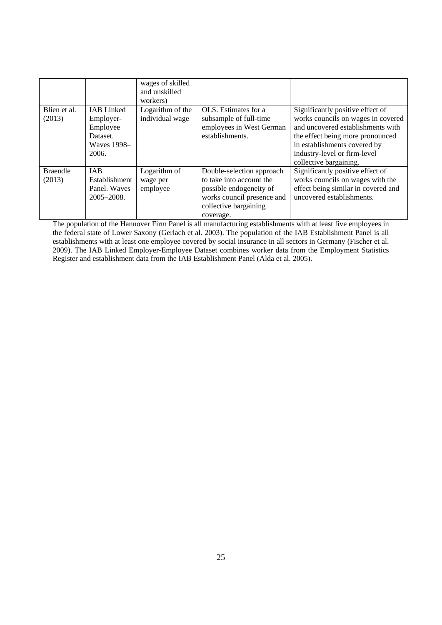|                           |                                                                                       | wages of skilled<br>and unskilled<br>workers) |                                                                                                                                                      |                                                                                                                                                                                                                                           |
|---------------------------|---------------------------------------------------------------------------------------|-----------------------------------------------|------------------------------------------------------------------------------------------------------------------------------------------------------|-------------------------------------------------------------------------------------------------------------------------------------------------------------------------------------------------------------------------------------------|
| Blien et al.<br>(2013)    | <b>IAB</b> Linked<br>Employer-<br>Employee<br>Dataset.<br><b>Waves 1998-</b><br>2006. | Logarithm of the<br>individual wage           | OLS. Estimates for a<br>subsample of full-time<br>employees in West German<br>establishments.                                                        | Significantly positive effect of<br>works councils on wages in covered<br>and uncovered establishments with<br>the effect being more pronounced<br>in establishments covered by<br>industry-level or firm-level<br>collective bargaining. |
| <b>Braendle</b><br>(2013) | <b>IAB</b><br>Establishment<br>Panel. Waves<br>$2005 - 2008.$                         | Logarithm of<br>wage per<br>employee          | Double-selection approach<br>to take into account the<br>possible endogeneity of<br>works council presence and<br>collective bargaining<br>coverage. | Significantly positive effect of<br>works councils on wages with the<br>effect being similar in covered and<br>uncovered establishments.                                                                                                  |

The population of the Hannover Firm Panel is all manufacturing establishments with at least five employees in the federal state of Lower Saxony (Gerlach et al. 2003). The population of the IAB Establishment Panel is all establishments with at least one employee covered by social insurance in all sectors in Germany (Fischer et al. 2009). The IAB Linked Employer-Employee Dataset combines worker data from the Employment Statistics Register and establishment data from the IAB Establishment Panel (Alda et al. 2005).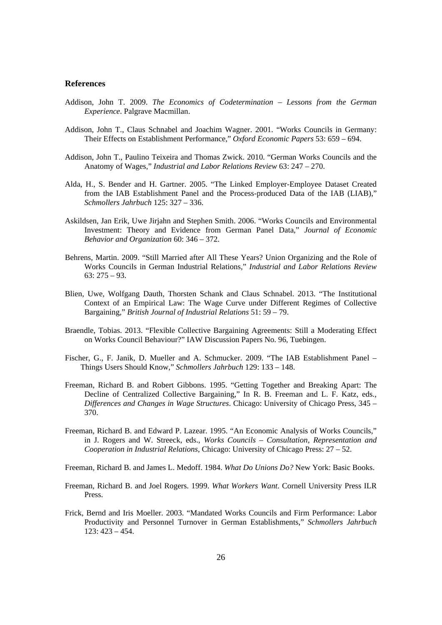#### **References**

- Addison, John T. 2009. *The Economics of Codetermination Lessons from the German Experience*. Palgrave Macmillan.
- Addison, John T., Claus Schnabel and Joachim Wagner. 2001. "Works Councils in Germany: Their Effects on Establishment Performance," *Oxford Economic Papers* 53: 659 – 694.
- Addison, John T., Paulino Teixeira and Thomas Zwick. 2010. "German Works Councils and the Anatomy of Wages," *Industrial and Labor Relations Review* 63: 247 – 270.
- Alda, H., S. Bender and H. Gartner. 2005. "The Linked Employer-Employee Dataset Created from the IAB Establishment Panel and the Process-produced Data of the IAB (LIAB)," *Schmollers Jahrbuch* 125: 327 – 336.
- Askildsen, Jan Erik, Uwe Jirjahn and Stephen Smith. 2006. "Works Councils and Environmental Investment: Theory and Evidence from German Panel Data," *Journal of Economic Behavior and Organization* 60: 346 – 372.
- Behrens, Martin. 2009. "Still Married after All These Years? Union Organizing and the Role of Works Councils in German Industrial Relations," *Industrial and Labor Relations Review*  63: 275 – 93.
- Blien, Uwe, Wolfgang Dauth, Thorsten Schank and Claus Schnabel. 2013. "The Institutional Context of an Empirical Law: The Wage Curve under Different Regimes of Collective Bargaining," *British Journal of Industrial Relations* 51: 59 – 79.
- Braendle, Tobias. 2013. "Flexible Collective Bargaining Agreements: Still a Moderating Effect on Works Council Behaviour?" IAW Discussion Papers No. 96, Tuebingen.
- Fischer, G., F. Janik, D. Mueller and A. Schmucker. 2009. "The IAB Establishment Panel Things Users Should Know," *Schmollers Jahrbuch* 129: 133 – 148.
- Freeman, Richard B. and Robert Gibbons. 1995. "Getting Together and Breaking Apart: The Decline of Centralized Collective Bargaining," In R. B. Freeman and L. F. Katz, eds., *Differences and Changes in Wage Structures*. Chicago: University of Chicago Press, 345 – 370.
- Freeman, Richard B. and Edward P. Lazear. 1995. "An Economic Analysis of Works Councils," in J. Rogers and W. Streeck, eds., *Works Councils – Consultation, Representation and Cooperation in Industrial Relations*, Chicago: University of Chicago Press: 27 – 52.
- Freeman, Richard B. and James L. Medoff. 1984. *What Do Unions Do?* New York: Basic Books.
- Freeman, Richard B. and Joel Rogers. 1999. *What Workers Want*. Cornell University Press ILR Press.
- Frick, Bernd and Iris Moeller. 2003. "Mandated Works Councils and Firm Performance: Labor Productivity and Personnel Turnover in German Establishments," *Schmollers Jahrbuch*  123: 423 – 454.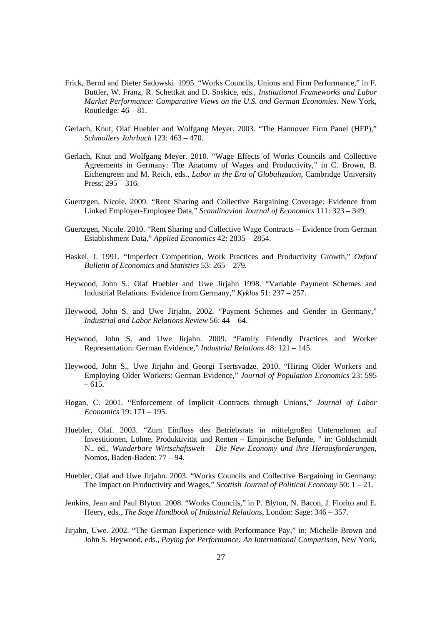- Frick, Bernd and Dieter Sadowski. 1995. "Works Councils, Unions and Firm Performance," in F. Buttler, W. Franz, R. Schettkat and D. Soskice, eds., *Institutional Frameworks and Labor Market Performance: Comparative Views on the U.S. and German Economies*. New York, Routledge:  $46 - 81$ .
- Gerlach, Knut, Olaf Huebler and Wolfgang Meyer. 2003. "The Hannover Firm Panel (HFP)," *Schmollers Jahrbuch* 123: 463 – 470.
- Gerlach, Knut and Wolfgang Meyer. 2010. "Wage Effects of Works Councils and Collective Agreements in Germany: The Anatomy of Wages and Productivity," in C. Brown, B. Eichengreen and M. Reich, eds., *Labor in the Era of Globalization*, Cambridge University Press: 295 – 316.
- Guertzgen, Nicole. 2009. "Rent Sharing and Collective Bargaining Coverage: Evidence from Linked Employer-Employee Data," *Scandinavian Journal of Economics* 111: 323 – 349.
- Guertzgen, Nicole. 2010. "Rent Sharing and Collective Wage Contracts Evidence from German Establishment Data," *Applied Economics* 42: 2835 – 2854.
- Haskel, J. 1991. "Imperfect Competition, Work Practices and Productivity Growth," *Oxford Bulletin of Economics and Statistics* 53: 265 – 279.
- Heywood, John S., Olaf Huebler and Uwe Jirjahn 1998. "Variable Payment Schemes and Industrial Relations: Evidence from Germany," *Kyklos* 51: 237 – 257.
- Heywood, John S. and Uwe Jirjahn. 2002. "Payment Schemes and Gender in Germany," *Industrial and Labor Relations Review* 56: 44 – 64.
- Heywood, John S. and Uwe Jirjahn. 2009. "Family Friendly Practices and Worker Representation: German Evidence," *Industrial Relations* 48: 121 – 145.
- Heywood, John S., Uwe Jirjahn and Georgi Tsertsvadze. 2010. "Hiring Older Workers and Employing Older Workers: German Evidence," *Journal of Population Economics* 23: 595  $-615.$
- Hogan, C. 2001. "Enforcement of Implicit Contracts through Unions," *Journal of Labor Economics* 19: 171 – 195.
- Huebler, Olaf. 2003. "Zum Einfluss des Betriebsrats in mittelgroßen Unternehmen auf Investitionen, Löhne, Produktivität und Renten – Empirische Befunde, " in: Goldschmidt N., ed., *Wunderbare Wirtschaftswelt – Die New Economy und ihre Herausforderungen*, Nomos, Baden-Baden: 77 – 94.
- Huebler, Olaf and Uwe Jirjahn. 2003. "Works Councils and Collective Bargaining in Germany: The Impact on Productivity and Wages," *Scottish Journal of Political Economy* 50: 1 – 21.
- Jenkins, Jean and Paul Blyton. 2008. "Works Councils," in P. Blyton, N. Bacon, J. Fiorito and E. Heery, eds., *The Sage Handbook of Industrial Relations*, London: Sage: 346 – 357.
- Jirjahn, Uwe. 2002. "The German Experience with Performance Pay," in: Michelle Brown and John S. Heywood, eds., *Paying for Performance: An International Comparison*, New York,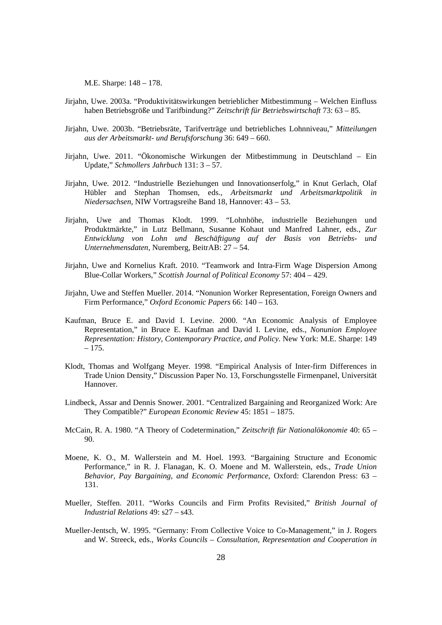M.E. Sharpe: 148 – 178.

- Jirjahn, Uwe. 2003a. "Produktivitätswirkungen betrieblicher Mitbestimmung Welchen Einfluss haben Betriebsgröße und Tarifbindung?" *Zeitschrift für Betriebswirtschaft* 73: 63 – 85.
- Jirjahn, Uwe. 2003b. "Betriebsräte, Tarifverträge und betriebliches Lohnniveau," *Mitteilungen aus der Arbeitsmarkt- und Berufsforschung* 36: 649 *–* 660.
- Jirjahn, Uwe. 2011. "Ökonomische Wirkungen der Mitbestimmung in Deutschland Ein Update," *Schmollers Jahrbuch* 131: 3 – 57.
- Jirjahn, Uwe. 2012. "Industrielle Beziehungen und Innovationserfolg," in Knut Gerlach, Olaf Hübler and Stephan Thomsen, eds., *Arbeitsmarkt und Arbeitsmarktpolitik in Niedersachsen*, NIW Vortragsreihe Band 18, Hannover: 43 – 53.
- Jirjahn, Uwe and Thomas Klodt. 1999. "Lohnhöhe, industrielle Beziehungen und Produktmärkte," in Lutz Bellmann, Susanne Kohaut und Manfred Lahner, eds., *Zur Entwicklung von Lohn und Beschäftigung auf der Basis von Betriebs- und Unternehmensdaten*, Nuremberg, BeitrAB: 27 – 54.
- Jirjahn, Uwe and Kornelius Kraft. 2010. "Teamwork and Intra-Firm Wage Dispersion Among Blue-Collar Workers," *Scottish Journal of Political Economy* 57: 404 – 429.
- Jirjahn, Uwe and Steffen Mueller. 2014. "Nonunion Worker Representation, Foreign Owners and Firm Performance," *Oxford Economic Papers* 66: 140 – 163.
- Kaufman, Bruce E. and David I. Levine. 2000. "An Economic Analysis of Employee Representation," in Bruce E. Kaufman and David I. Levine, eds., *Nonunion Employee Representation: History, Contemporary Practice, and Policy*. New York: M.E. Sharpe: 149 – 175.
- Klodt, Thomas and Wolfgang Meyer. 1998. "Empirical Analysis of Inter-firm Differences in Trade Union Density," Discussion Paper No. 13, Forschungsstelle Firmenpanel, Universität Hannover.
- Lindbeck, Assar and Dennis Snower. 2001. "Centralized Bargaining and Reorganized Work: Are They Compatible?" *European Economic Review* 45: 1851 – 1875.
- McCain, R. A. 1980. "A Theory of Codetermination," *Zeitschrift für Nationalökonomie* 40: 65 90.
- Moene, K. O., M. Wallerstein and M. Hoel. 1993. "Bargaining Structure and Economic Performance," in R. J. Flanagan, K. O. Moene and M. Wallerstein, eds., *Trade Union Behavior, Pay Bargaining, and Economic Performance*, Oxford: Clarendon Press: 63 – 131.
- Mueller, Steffen. 2011. "Works Councils and Firm Profits Revisited," *British Journal of Industrial Relations* 49: s27 – s43.
- Mueller-Jentsch, W. 1995. "Germany: From Collective Voice to Co-Management," in J. Rogers and W. Streeck, eds., *Works Councils – Consultation, Representation and Cooperation in*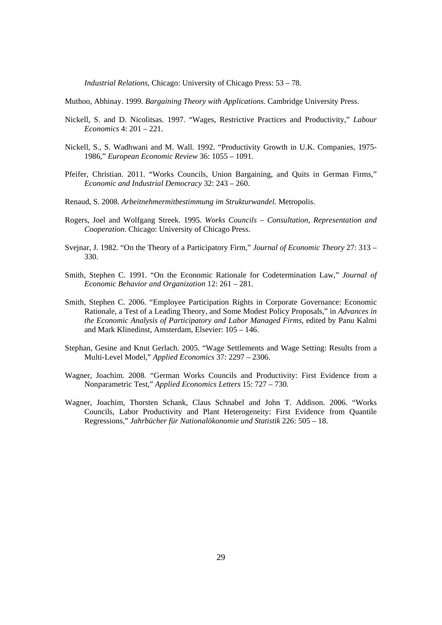*Industrial Relations*, Chicago: University of Chicago Press: 53 – 78.

Muthoo, Abhinay. 1999. *Bargaining Theory with Applications*. Cambridge University Press.

- Nickell, S. and D. Nicolitsas. 1997. "Wages, Restrictive Practices and Productivity," *Labour Economics* 4: 201 – 221.
- Nickell, S., S. Wadhwani and M. Wall. 1992. "Productivity Growth in U.K. Companies, 1975- 1986," *European Economic Review* 36: 1055 – 1091.
- Pfeifer, Christian. 2011. "Works Councils, Union Bargaining, and Quits in German Firms," *Economic and Industrial Democracy* 32: 243 – 260.
- Renaud, S. 2008. *Arbeitnehmermitbestimmung im Strukturwandel.* Metropolis.
- Rogers, Joel and Wolfgang Streek. 1995. *Works Councils Consultation, Representation and Cooperation*. Chicago: University of Chicago Press.
- Svejnar, J. 1982. "On the Theory of a Participatory Firm," *Journal of Economic Theory* 27: 313 330.
- Smith, Stephen C. 1991. "On the Economic Rationale for Codetermination Law," *Journal of Economic Behavior and Organization* 12: 261 – 281.
- Smith, Stephen C. 2006. "Employee Participation Rights in Corporate Governance: Economic Rationale, a Test of a Leading Theory, and Some Modest Policy Proposals," in *Advances in the Economic Analysis of Participatory and Labor Managed Firms*, edited by Panu Kalmi and Mark Klinedinst, Amsterdam, Elsevier: 105 – 146.
- Stephan, Gesine and Knut Gerlach. 2005. "Wage Settlements and Wage Setting: Results from a Multi-Level Model," *Applied Economics* 37: 2297 – 2306.
- Wagner, Joachim. 2008. "German Works Councils and Productivity: First Evidence from a Nonparametric Test," *Applied Economics Letters* 15: 727 – 730.
- Wagner, Joachim, Thorsten Schank, Claus Schnabel and John T. Addison. 2006. "Works Councils, Labor Productivity and Plant Heterogeneity: First Evidence from Quantile Regressions," *Jahrbücher für Nationalökonomie und Statistik* 226: 505 – 18.